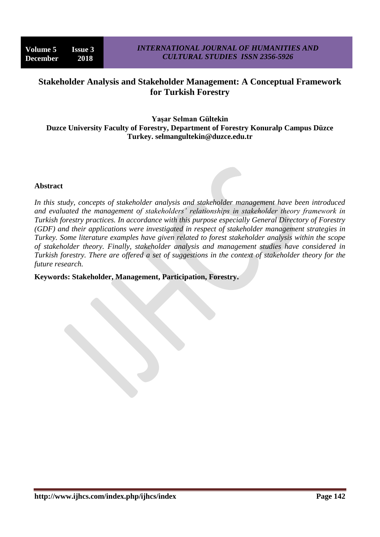# **Stakeholder Analysis and Stakeholder Management: A Conceptual Framework for Turkish Forestry**

**Yaşar Selman Gültekin Duzce University Faculty of Forestry, Department of Forestry Konuralp Campus Düzce Turkey. selmangultekin@duzce.edu.tr**

#### **Abstract**

*In this study, concepts of stakeholder analysis and stakeholder management have been introduced and evaluated the management of stakeholders' relationships in stakeholder theory framework in Turkish forestry practices. In accordance with this purpose especially General Directory of Forestry (GDF) and their applications were investigated in respect of stakeholder management strategies in Turkey. Some literature examples have given related to forest stakeholder analysis within the scope of stakeholder theory. Finally, stakeholder analysis and management studies have considered in Turkish forestry. There are offered a set of suggestions in the context of stakeholder theory for the future research.*

#### **Keywords: Stakeholder, Management, Participation, Forestry.**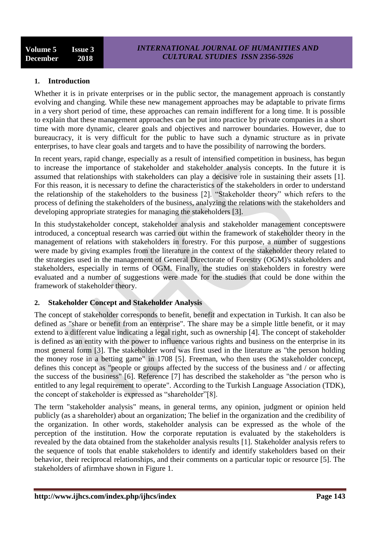## **1. Introduction**

Whether it is in private enterprises or in the public sector, the management approach is constantly evolving and changing. While these new management approaches may be adaptable to private firms in a very short period of time, these approaches can remain indifferent for a long time. It is possible to explain that these management approaches can be put into practice by private companies in a short time with more dynamic, clearer goals and objectives and narrower boundaries. However, due to bureaucracy, it is very difficult for the public to have such a dynamic structure as in private enterprises, to have clear goals and targets and to have the possibility of narrowing the borders.

In recent years, rapid change, especially as a result of intensified competition in business, has begun to increase the importance of stakeholder and stakeholder analysis concepts. In the future it is assumed that relationships with stakeholders can play a decisive role in sustaining their assets [1]. For this reason, it is necessary to define the characteristics of the stakeholders in order to understand the relationship of the stakeholders to the business [2]. "Stakeholder theory" which refers to the process of defining the stakeholders of the business, analyzing the relations with the stakeholders and developing appropriate strategies for managing the stakeholders [3].

In this studystakeholder concept, stakeholder analysis and stakeholder management conceptswere introduced, a conceptual research was carried out within the framework of stakeholder theory in the management of relations with stakeholders in forestry. For this purpose, a number of suggestions were made by giving examples from the literature in the context of the stakeholder theory related to the strategies used in the management of General Directorate of Forestry (OGM)'s stakeholders and stakeholders, especially in terms of OGM. Finally, the studies on stakeholders in forestry were evaluated and a number of suggestions were made for the studies that could be done within the framework of stakeholder theory.

## **2. Stakeholder Concept and Stakeholder Analysis**

The concept of stakeholder corresponds to benefit, benefit and expectation in Turkish. It can also be defined as "share or benefit from an enterprise". The share may be a simple little benefit, or it may extend to a different value indicating a legal right, such as ownership [4]. The concept of stakeholder is defined as an entity with the power to influence various rights and business on the enterprise in its most general form [3]. The stakeholder word was first used in the literature as "the person holding the money rose in a betting game" in 1708 [5]. Freeman, who then uses the stakeholder concept, defines this concept as "people or groups affected by the success of the business and / or affecting the success of the business" [6]. Reference [7] has described the stakeholder as "the person who is entitled to any legal requirement to operate". According to the Turkish Language Association (TDK), the concept of stakeholder is expressed as "shareholder"[8].

The term "stakeholder analysis" means, in general terms, any opinion, judgment or opinion held publicly (as a shareholder) about an organization; The belief in the organization and the credibility of the organization. In other words, stakeholder analysis can be expressed as the whole of the perception of the institution. How the corporate reputation is evaluated by the stakeholders is revealed by the data obtained from the stakeholder analysis results [1]. Stakeholder analysis refers to the sequence of tools that enable stakeholders to identify and identify stakeholders based on their behavior, their reciprocal relationships, and their comments on a particular topic or resource [5]. The stakeholders of afirmhave shown in Figure 1.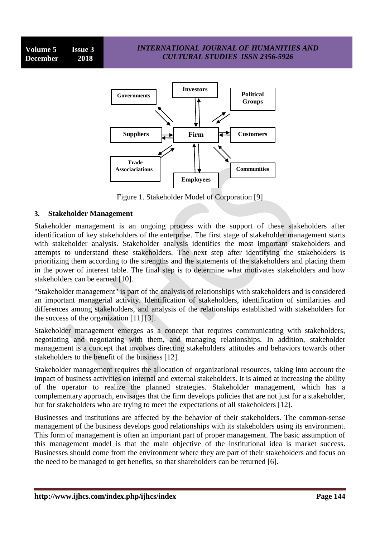

Figure 1. Stakeholder Model of Corporation [9]

#### **3. Stakeholder Management**

Stakeholder management is an ongoing process with the support of these stakeholders after identification of key stakeholders of the enterprise. The first stage of stakeholder management starts with stakeholder analysis. Stakeholder analysis identifies the most important stakeholders and attempts to understand these stakeholders. The next step after identifying the stakeholders is prioritizing them according to the strengths and the statements of the stakeholders and placing them in the power of interest table. The final step is to determine what motivates stakeholders and how stakeholders can be earned [10].

"Stakeholder management" is part of the analysis of relationships with stakeholders and is considered an important managerial activity. Identification of stakeholders, identification of similarities and differences among stakeholders, and analysis of the relationships established with stakeholders for the success of the organization [11] [3].

Stakeholder management emerges as a concept that requires communicating with stakeholders, negotiating and negotiating with them, and managing relationships. In addition, stakeholder management is a concept that involves directing stakeholders' attitudes and behaviors towards other stakeholders to the benefit of the business [12].

Stakeholder management requires the allocation of organizational resources, taking into account the impact of business activities on internal and external stakeholders. It is aimed at increasing the ability of the operator to realize the planned strategies. Stakeholder management, which has a complementary approach, envisages that the firm develops policies that are not just for a stakeholder, but for stakeholders who are trying to meet the expectations of all stakeholders [12].

Businesses and institutions are affected by the behavior of their stakeholders. The common-sense management of the business develops good relationships with its stakeholders using its environment. This form of management is often an important part of proper management. The basic assumption of this management model is that the main objective of the institutional idea is market success. Businesses should come from the environment where they are part of their stakeholders and focus on the need to be managed to get benefits, so that shareholders can be returned [6].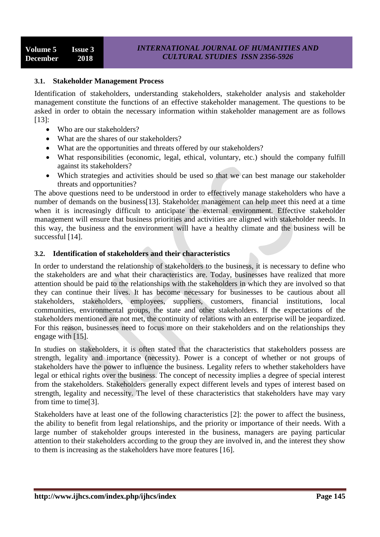#### **3.1. Stakeholder Management Process**

Identification of stakeholders, understanding stakeholders, stakeholder analysis and stakeholder management constitute the functions of an effective stakeholder management. The questions to be asked in order to obtain the necessary information within stakeholder management are as follows [13]:

- Who are our stakeholders?
- What are the shares of our stakeholders?
- What are the opportunities and threats offered by our stakeholders?
- What responsibilities (economic, legal, ethical, voluntary, etc.) should the company fulfill against its stakeholders?
- Which strategies and activities should be used so that we can best manage our stakeholder threats and opportunities?

The above questions need to be understood in order to effectively manage stakeholders who have a number of demands on the business[13]. Stakeholder management can help meet this need at a time when it is increasingly difficult to anticipate the external environment. Effective stakeholder management will ensure that business priorities and activities are aligned with stakeholder needs. In this way, the business and the environment will have a healthy climate and the business will be successful [14].

#### **3.2. Identification of stakeholders and their characteristics**

In order to understand the relationship of stakeholders to the business, it is necessary to define who the stakeholders are and what their characteristics are. Today, businesses have realized that more attention should be paid to the relationships with the stakeholders in which they are involved so that they can continue their lives. It has become necessary for businesses to be cautious about all stakeholders, stakeholders, employees, suppliers, customers, financial institutions, local communities, environmental groups, the state and other stakeholders. If the expectations of the stakeholders mentioned are not met, the continuity of relations with an enterprise will be jeopardized. For this reason, businesses need to focus more on their stakeholders and on the relationships they engage with [15].

In studies on stakeholders, it is often stated that the characteristics that stakeholders possess are strength, legality and importance (necessity). Power is a concept of whether or not groups of stakeholders have the power to influence the business. Legality refers to whether stakeholders have legal or ethical rights over the business. The concept of necessity implies a degree of special interest from the stakeholders. Stakeholders generally expect different levels and types of interest based on strength, legality and necessity. The level of these characteristics that stakeholders have may vary from time to time[3].

Stakeholders have at least one of the following characteristics [2]: the power to affect the business, the ability to benefit from legal relationships, and the priority or importance of their needs. With a large number of stakeholder groups interested in the business, managers are paying particular attention to their stakeholders according to the group they are involved in, and the interest they show to them is increasing as the stakeholders have more features [16].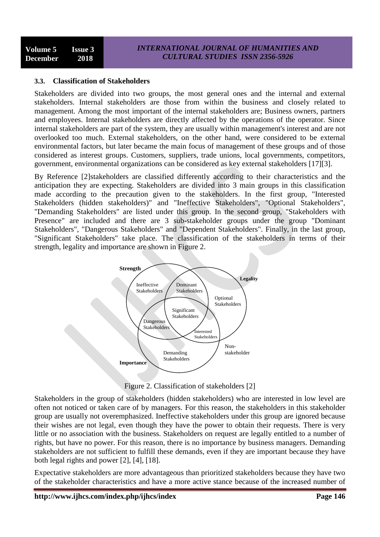## **3.3. Classification of Stakeholders**

Stakeholders are divided into two groups, the most general ones and the internal and external stakeholders. Internal stakeholders are those from within the business and closely related to management. Among the most important of the internal stakeholders are; Business owners, partners and employees. Internal stakeholders are directly affected by the operations of the operator. Since internal stakeholders are part of the system, they are usually within management's interest and are not overlooked too much. External stakeholders, on the other hand, were considered to be external environmental factors, but later became the main focus of management of these groups and of those considered as interest groups. Customers, suppliers, trade unions, local governments, competitors, government, environmental organizations can be considered as key external stakeholders [17][3].

By Reference [2]stakeholders are classified differently according to their characteristics and the anticipation they are expecting. Stakeholders are divided into 3 main groups in this classification made according to the precaution given to the stakeholders. In the first group, "Interested Stakeholders (hidden stakeholders)" and "Ineffective Stakeholders", "Optional Stakeholders", "Demanding Stakeholders" are listed under this group. In the second group, "Stakeholders with Presence" are included and there are 3 sub-stakeholder groups under the group "Dominant Stakeholders", "Dangerous Stakeholders" and "Dependent Stakeholders". Finally, in the last group, "Significant Stakeholders" take place. The classification of the stakeholders in terms of their strength, legality and importance are shown in Figure 2.



Figure 2. Classification of stakeholders [2]

Stakeholders in the group of stakeholders (hidden stakeholders) who are interested in low level are often not noticed or taken care of by managers. For this reason, the stakeholders in this stakeholder group are usually not overemphasized. Ineffective stakeholders under this group are ignored because their wishes are not legal, even though they have the power to obtain their requests. There is very little or no association with the business. Stakeholders on request are legally entitled to a number of rights, but have no power. For this reason, there is no importance by business managers. Demanding stakeholders are not sufficient to fulfill these demands, even if they are important because they have both legal rights and power [2], [4], [18].

Expectative stakeholders are more advantageous than prioritized stakeholders because they have two of the stakeholder characteristics and have a more active stance because of the increased number of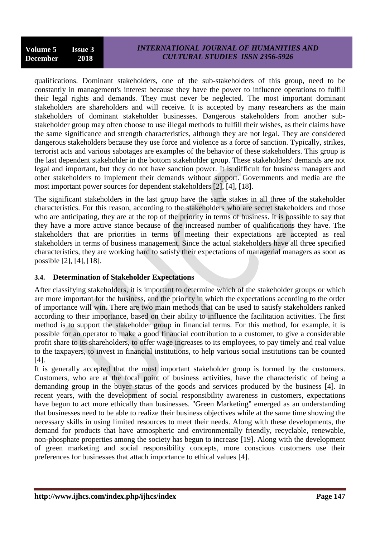qualifications. Dominant stakeholders, one of the sub-stakeholders of this group, need to be constantly in management's interest because they have the power to influence operations to fulfill their legal rights and demands. They must never be neglected. The most important dominant stakeholders are shareholders and will receive. It is accepted by many researchers as the main stakeholders of dominant stakeholder businesses. Dangerous stakeholders from another substakeholder group may often choose to use illegal methods to fulfill their wishes, as their claims have the same significance and strength characteristics, although they are not legal. They are considered dangerous stakeholders because they use force and violence as a force of sanction. Typically, strikes, terrorist acts and various sabotages are examples of the behavior of these stakeholders. This group is the last dependent stakeholder in the bottom stakeholder group. These stakeholders' demands are not legal and important, but they do not have sanction power. It is difficult for business managers and other stakeholders to implement their demands without support. Governments and media are the most important power sources for dependent stakeholders [2], [4], [18].

The significant stakeholders in the last group have the same stakes in all three of the stakeholder characteristics. For this reason, according to the stakeholders who are secret stakeholders and those who are anticipating, they are at the top of the priority in terms of business. It is possible to say that they have a more active stance because of the increased number of qualifications they have. The stakeholders that are priorities in terms of meeting their expectations are accepted as real stakeholders in terms of business management. Since the actual stakeholders have all three specified characteristics, they are working hard to satisfy their expectations of managerial managers as soon as possible [2], [4], [18].

## **3.4. Determination of Stakeholder Expectations**

After classifying stakeholders, it is important to determine which of the stakeholder groups or which are more important for the business, and the priority in which the expectations according to the order of importance will win. There are two main methods that can be used to satisfy stakeholders ranked according to their importance, based on their ability to influence the facilitation activities. The first method is to support the stakeholder group in financial terms. For this method, for example, it is possible for an operator to make a good financial contribution to a customer, to give a considerable profit share to its shareholders, to offer wage increases to its employees, to pay timely and real value to the taxpayers, to invest in financial institutions, to help various social institutions can be counted [4].

It is generally accepted that the most important stakeholder group is formed by the customers. Customers, who are at the focal point of business activities, have the characteristic of being a demanding group in the buyer status of the goods and services produced by the business [4]. In recent years, with the development of social responsibility awareness in customers, expectations have begun to act more ethically than businesses. "Green Marketing" emerged as an understanding that businesses need to be able to realize their business objectives while at the same time showing the necessary skills in using limited resources to meet their needs. Along with these developments, the demand for products that have atmospheric and environmentally friendly, recyclable, renewable, non-phosphate properties among the society has begun to increase [19]. Along with the development of green marketing and social responsibility concepts, more conscious customers use their preferences for businesses that attach importance to ethical values [4].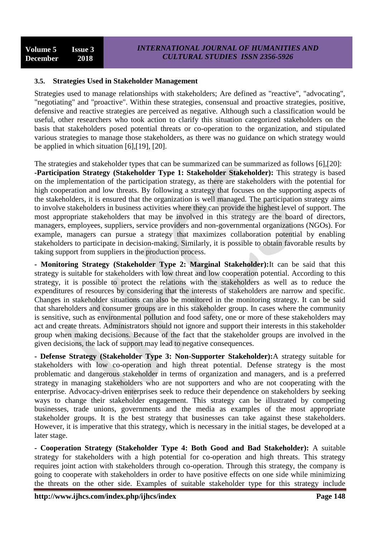## **3.5. Strategies Used in Stakeholder Management**

Strategies used to manage relationships with stakeholders; Are defined as "reactive", "advocating", "negotiating" and "proactive". Within these strategies, consensual and proactive strategies, positive, defensive and reactive strategies are perceived as negative. Although such a classification would be useful, other researchers who took action to clarify this situation categorized stakeholders on the basis that stakeholders posed potential threats or co-operation to the organization, and stipulated various strategies to manage those stakeholders, as there was no guidance on which strategy would be applied in which situation [6],[19], [20].

The strategies and stakeholder types that can be summarized can be summarized as follows [6],[20]: **-Participation Strategy (Stakeholder Type 1: Stakeholder Stakeholder):** This strategy is based on the implementation of the participation strategy, as there are stakeholders with the potential for high cooperation and low threats. By following a strategy that focuses on the supporting aspects of the stakeholders, it is ensured that the organization is well managed. The participation strategy aims to involve stakeholders in business activities where they can provide the highest level of support. The most appropriate stakeholders that may be involved in this strategy are the board of directors, managers, employees, suppliers, service providers and non-governmental organizations (NGOs). For example, managers can pursue a strategy that maximizes collaboration potential by enabling stakeholders to participate in decision-making. Similarly, it is possible to obtain favorable results by taking support from suppliers in the production process.

**- Monitoring Strategy (Stakeholder Type 2: Marginal Stakeholder):**It can be said that this strategy is suitable for stakeholders with low threat and low cooperation potential. According to this strategy, it is possible to protect the relations with the stakeholders as well as to reduce the expenditures of resources by considering that the interests of stakeholders are narrow and specific. Changes in stakeholder situations can also be monitored in the monitoring strategy. It can be said that shareholders and consumer groups are in this stakeholder group. In cases where the community is sensitive, such as environmental pollution and food safety, one or more of these stakeholders may act and create threats. Administrators should not ignore and support their interests in this stakeholder group when making decisions. Because of the fact that the stakeholder groups are involved in the given decisions, the lack of support may lead to negative consequences.

**- Defense Strategy (Stakeholder Type 3: Non-Supporter Stakeholder):**A strategy suitable for stakeholders with low co-operation and high threat potential. Defense strategy is the most problematic and dangerous stakeholder in terms of organization and managers, and is a preferred strategy in managing stakeholders who are not supporters and who are not cooperating with the enterprise. Advocacy-driven enterprises seek to reduce their dependence on stakeholders by seeking ways to change their stakeholder engagement. This strategy can be illustrated by competing businesses, trade unions, governments and the media as examples of the most appropriate stakeholder groups. It is the best strategy that businesses can take against these stakeholders. However, it is imperative that this strategy, which is necessary in the initial stages, be developed at a later stage.

**- Cooperation Strategy (Stakeholder Type 4: Both Good and Bad Stakeholder):** A suitable strategy for stakeholders with a high potential for co-operation and high threats. This strategy requires joint action with stakeholders through co-operation. Through this strategy, the company is going to cooperate with stakeholders in order to have positive effects on one side while minimizing the threats on the other side. Examples of suitable stakeholder type for this strategy include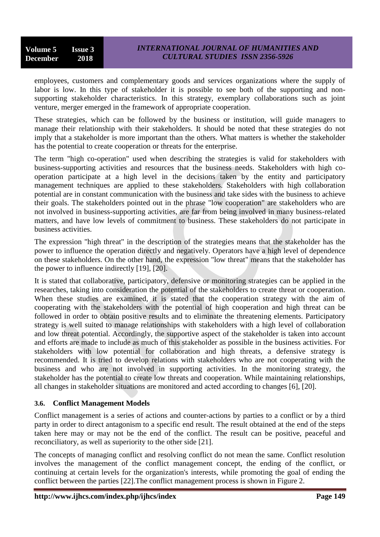employees, customers and complementary goods and services organizations where the supply of labor is low. In this type of stakeholder it is possible to see both of the supporting and nonsupporting stakeholder characteristics. In this strategy, exemplary collaborations such as joint venture, merger emerged in the framework of appropriate cooperation.

These strategies, which can be followed by the business or institution, will guide managers to manage their relationship with their stakeholders. It should be noted that these strategies do not imply that a stakeholder is more important than the others. What matters is whether the stakeholder has the potential to create cooperation or threats for the enterprise.

The term "high co-operation" used when describing the strategies is valid for stakeholders with business-supporting activities and resources that the business needs. Stakeholders with high cooperation participate at a high level in the decisions taken by the entity and participatory management techniques are applied to these stakeholders. Stakeholders with high collaboration potential are in constant communication with the business and take sides with the business to achieve their goals. The stakeholders pointed out in the phrase "low cooperation" are stakeholders who are not involved in business-supporting activities, are far from being involved in many business-related matters, and have low levels of commitment to business. These stakeholders do not participate in business activities.

The expression "high threat" in the description of the strategies means that the stakeholder has the power to influence the operation directly and negatively. Operators have a high level of dependence on these stakeholders. On the other hand, the expression "low threat" means that the stakeholder has the power to influence indirectly [19], [20].

It is stated that collaborative, participatory, defensive or monitoring strategies can be applied in the researches, taking into consideration the potential of the stakeholders to create threat or cooperation. When these studies are examined, it is stated that the cooperation strategy with the aim of cooperating with the stakeholders with the potential of high cooperation and high threat can be followed in order to obtain positive results and to eliminate the threatening elements. Participatory strategy is well suited to manage relationships with stakeholders with a high level of collaboration and low threat potential. Accordingly, the supportive aspect of the stakeholder is taken into account and efforts are made to include as much of this stakeholder as possible in the business activities. For stakeholders with low potential for collaboration and high threats, a defensive strategy is recommended. It is tried to develop relations with stakeholders who are not cooperating with the business and who are not involved in supporting activities. In the monitoring strategy, the stakeholder has the potential to create low threats and cooperation. While maintaining relationships, all changes in stakeholder situations are monitored and acted according to changes [6], [20].

## **3.6. Conflict Management Models**

Conflict management is a series of actions and counter-actions by parties to a conflict or by a third party in order to direct antagonism to a specific end result. The result obtained at the end of the steps taken here may or may not be the end of the conflict. The result can be positive, peaceful and reconciliatory, as well as superiority to the other side [21].

The concepts of managing conflict and resolving conflict do not mean the same. Conflict resolution involves the management of the conflict management concept, the ending of the conflict, or continuing at certain levels for the organization's interests, while promoting the goal of ending the conflict between the parties [22].The conflict management process is shown in Figure 2.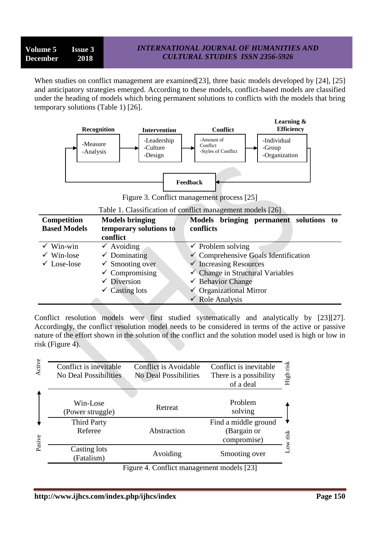## *INTERNATIONAL JOURNAL OF HUMANITIES AND CULTURAL STUDIES ISSN 2356-5926*

When studies on conflict management are examined [23], three basic models developed by [24], [25] and anticipatory strategies emerged. According to these models, conflict-based models are classified under the heading of models which bring permanent solutions to conflicts with the models that bring temporary solutions (Table 1) [26].



Figure 3. Conflict management process [25]

|  | Table 1. Classification of conflict management models [26] |  |  |  |
|--|------------------------------------------------------------|--|--|--|
|  |                                                            |  |  |  |

| <b>Competition</b>     | <b>Models bringing</b>     | Models bringing permanent solutions to          |
|------------------------|----------------------------|-------------------------------------------------|
| <b>Based Models</b>    | temporary solutions to     | conflicts                                       |
|                        | conflict                   |                                                 |
| $\checkmark$ Win-win   | $\checkmark$ Avoiding      | $\checkmark$ Problem solving                    |
| $\checkmark$ Win-lose  | $\checkmark$ Dominating    | $\checkmark$ Comprehensive Goals Identification |
| $\checkmark$ Lose-lose | $\checkmark$ Smooting over | $\checkmark$ Increasing Resources               |
|                        | $\checkmark$ Compromising  | $\checkmark$ Change in Structural Variables     |
|                        | $\checkmark$ Diversion     | $\checkmark$ Behavior Change                    |
|                        | $\checkmark$ Casting lots  | $\checkmark$ Organizational Mirror              |
|                        |                            | $\checkmark$ Role Analysis                      |

Conflict resolution models were first studied systematically and analytically by [23][27]. Accordingly, the conflict resolution model needs to be considered in terms of the active or passive nature of the effort shown in the solution of the conflict and the solution model used is high or low in risk (Figure 4).

| Active | Conflict is inevitable<br><b>No Deal Possibilities</b> | Conflict is Avoidable<br><b>No Deal Possibilities</b> | Conflict is inevitable<br>There is a possibility<br>of a deal | High risk |
|--------|--------------------------------------------------------|-------------------------------------------------------|---------------------------------------------------------------|-----------|
|        | Win-Lose<br>(Power struggle)                           | Retreat                                               | Problem<br>solving                                            |           |
| Pasive | <b>Third Party</b><br>Referee                          | Abstraction                                           | Find a middle ground<br>(Bargain or<br>compromise)            | ow risk   |
|        | Casting lots<br>(Fatalism)                             | Avoiding                                              | Smooting over                                                 |           |
|        |                                                        | Figure 4. Conflict management models [23]             |                                                               |           |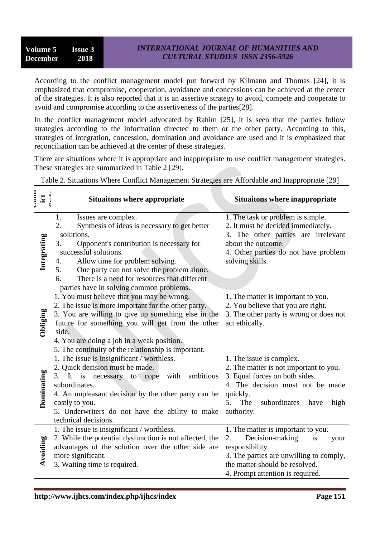## *INTERNATIONAL JOURNAL OF HUMANITIES AND CULTURAL STUDIES ISSN 2356-5926*

According to the conflict management model put forward by Kilmann and Thomas [24], it is emphasized that compromise, cooperation, avoidance and concessions can be achieved at the center of the strategies. It is also reported that it is an assertive strategy to avoid, compete and cooperate to avoid and compromise according to the assertiveness of the parties[28].

In the conflict management model advocated by Rahim [25], it is seen that the parties follow strategies according to the information directed to them or the other party. According to this, strategies of integration, concession, domination and avoidance are used and it is emphasized that reconciliation can be achieved at the center of these strategies.

There are situations where it is appropriate and inappropriate to use conflict management strategies. These strategies are summarized in Table 2 [29].

Table 2. Situations Where Conflict Management Strategies are Affordable and Inappropriate [29]

| $\mathbf{ii}$ | <b>Situaitons where appropriate</b>                                                                                                                                                                                                                                                                                                                                      | <b>Situaitons where inappropriate</b>                                                                                                                                                                                       |
|---------------|--------------------------------------------------------------------------------------------------------------------------------------------------------------------------------------------------------------------------------------------------------------------------------------------------------------------------------------------------------------------------|-----------------------------------------------------------------------------------------------------------------------------------------------------------------------------------------------------------------------------|
| Integrating   | Issues are complex.<br>1.<br>Synthesis of ideas is necessary to get better<br>2.<br>solutions.<br>3.<br>Opponent's contribution is necessary for<br>successful solutions.<br>Allow time for problem solving.<br>4.<br>5.<br>One party can not solve the problem alone.<br>There is a need for resources that different<br>6.<br>parties have in solving common problems. | 1. The task or problem is simple.<br>2. It must be decided immediately.<br>3. The other parties are irrelevant<br>about the outcome.<br>4. Other parties do not have problem<br>solving skills.                             |
| Obliging      | 1. You must believe that you may be wrong.<br>2. The issue is more important for the other party.<br>3. You are willing to give up something else in the<br>future for something you will get from the other<br>side.<br>4. You are doing a job in a weak position.<br>5. The continuity of the relationship is important.                                               | 1. The matter is important to you.<br>2. You believe that you are right.<br>3. The other party is wrong or does not<br>act ethically.                                                                                       |
| Dominating    | 1. The issue is insignificant / worthless.<br>2. Quick decision must be made.<br>It is necessary to cope<br>with<br>ambitious<br>3.<br>subordinates.<br>4. An unpleasant decision by the other party can be<br>costly to you.<br>5. Underwriters do not have the ability to make<br>technical decisions.                                                                 | 1. The issue is complex.<br>2. The matter is not important to you.<br>3. Equal forces on both sides.<br>4. The decision must not be made<br>quickly.<br>subordinates<br>5 <sub>1</sub><br>The<br>have<br>high<br>authority. |
| Avoiding      | 1. The issue is insignificant / worthless.<br>2. While the potential dysfunction is not affected, the<br>advantages of the solution over the other side are<br>more significant.<br>3. Waiting time is required.                                                                                                                                                         | 1. The matter is important to you.<br>Decision-making<br>2.<br>is<br>your<br>responsibility.<br>3. The parties are unwilling to comply,<br>the matter should be resolved.<br>4. Prompt attention is required.               |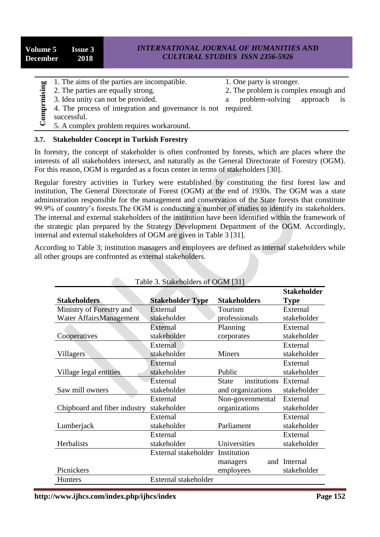| Volume 5 Issue 3<br>December 2018 | <b>INTERNATIONAL JOURNAL OF HUMANITIES AND</b><br><b>CULTURAL STUDIES ISSN 2356-5926</b> |
|-----------------------------------|------------------------------------------------------------------------------------------|
|                                   |                                                                                          |

- 1. The aims of the parties are incompatible.
- 2. The parties are equally strong.
- 3. Idea unity can not be provided.
- 1. One party is stronger.
- 2. The problem is complex enough and

- a problem-solving approach is
- 4. The process of integration and governance is not required. successful.
- 5. A complex problem requires workaround.

#### **3.7. Stakeholder Concept in Turkish Forestry**

| Comprmising | 2. The parties are equally strong.<br>3. Idea unity can not be provided.<br>4. The process of integration and governance is not<br>successful.<br>5. A complex problem requires workaround.                                                                                                                                                                                                                                                                                                                                                                                                                                                                                                                                                                                                                                                                         | 1. The anns of the parties are incompatible. | 1. One party is stronger.<br>problem-solving<br>a<br>required. | 2. The problem is complex enough and<br>approach<br>is |
|-------------|---------------------------------------------------------------------------------------------------------------------------------------------------------------------------------------------------------------------------------------------------------------------------------------------------------------------------------------------------------------------------------------------------------------------------------------------------------------------------------------------------------------------------------------------------------------------------------------------------------------------------------------------------------------------------------------------------------------------------------------------------------------------------------------------------------------------------------------------------------------------|----------------------------------------------|----------------------------------------------------------------|--------------------------------------------------------|
| 3.7.        | <b>Stakeholder Concept in Turkish Forestry</b>                                                                                                                                                                                                                                                                                                                                                                                                                                                                                                                                                                                                                                                                                                                                                                                                                      |                                              |                                                                |                                                        |
|             | In forestry, the concept of stakeholder is often confronted by forests, which are places where the<br>interests of all stakeholders intersect, and naturally as the General Directorate of Forestry (OGM).<br>For this reason, OGM is regarded as a focus center in terms of stakeholders [30].                                                                                                                                                                                                                                                                                                                                                                                                                                                                                                                                                                     |                                              |                                                                |                                                        |
|             | Regular forestry activities in Turkey were established by constituting the first forest law and<br>institution, The General Directorate of Forest (OGM) at the end of 1930s. The OGM was a state<br>administration responsible for the management and conservation of the State forests that constitute<br>99.9% of country's forests. The OGM is conducting a number of studies to identify its stakeholders.<br>The internal and external stakeholders of the institution have been identified within the framework of<br>the strategic plan prepared by the Strategy Development Department of the OGM. Accordingly,<br>internal and external stakeholders of OGM are given in Table 3 [31].<br>According to Table 3; institution managers and employees are defined as internal stakeholders while<br>all other groups are confronted as external stakeholders. | Table 3. Stakeholders of OGM [31]            |                                                                |                                                        |
|             |                                                                                                                                                                                                                                                                                                                                                                                                                                                                                                                                                                                                                                                                                                                                                                                                                                                                     |                                              |                                                                | <b>Stakeholder</b>                                     |
|             |                                                                                                                                                                                                                                                                                                                                                                                                                                                                                                                                                                                                                                                                                                                                                                                                                                                                     |                                              |                                                                |                                                        |
|             | <b>Stakeholders</b>                                                                                                                                                                                                                                                                                                                                                                                                                                                                                                                                                                                                                                                                                                                                                                                                                                                 | <b>Stakeholder Type</b>                      | <b>Stakeholders</b>                                            | <b>Type</b>                                            |
|             | Ministry of Forestry and                                                                                                                                                                                                                                                                                                                                                                                                                                                                                                                                                                                                                                                                                                                                                                                                                                            | External                                     | Tourism                                                        | External                                               |
|             | Water AffairsManagement                                                                                                                                                                                                                                                                                                                                                                                                                                                                                                                                                                                                                                                                                                                                                                                                                                             | stakeholder                                  | professionals                                                  | stakeholder                                            |
|             |                                                                                                                                                                                                                                                                                                                                                                                                                                                                                                                                                                                                                                                                                                                                                                                                                                                                     | External                                     | Planning                                                       | External                                               |
|             | Cooperatives                                                                                                                                                                                                                                                                                                                                                                                                                                                                                                                                                                                                                                                                                                                                                                                                                                                        | stakeholder                                  | corporates                                                     | stakeholder                                            |
|             |                                                                                                                                                                                                                                                                                                                                                                                                                                                                                                                                                                                                                                                                                                                                                                                                                                                                     | External                                     |                                                                | External                                               |
|             | Villagers                                                                                                                                                                                                                                                                                                                                                                                                                                                                                                                                                                                                                                                                                                                                                                                                                                                           | stakeholder                                  | Miners                                                         | stakeholder                                            |
|             |                                                                                                                                                                                                                                                                                                                                                                                                                                                                                                                                                                                                                                                                                                                                                                                                                                                                     | External                                     |                                                                | External                                               |
|             | Village legal entities                                                                                                                                                                                                                                                                                                                                                                                                                                                                                                                                                                                                                                                                                                                                                                                                                                              | stakeholder                                  | Public                                                         | stakeholder                                            |
|             |                                                                                                                                                                                                                                                                                                                                                                                                                                                                                                                                                                                                                                                                                                                                                                                                                                                                     | External                                     | institutions<br><b>State</b>                                   | External                                               |
|             | Saw mill owners                                                                                                                                                                                                                                                                                                                                                                                                                                                                                                                                                                                                                                                                                                                                                                                                                                                     | stakeholder                                  | and organizations                                              | stakeholder                                            |
|             |                                                                                                                                                                                                                                                                                                                                                                                                                                                                                                                                                                                                                                                                                                                                                                                                                                                                     | External                                     | Non-governmental                                               | External                                               |
|             | Chipboard and fiber industry                                                                                                                                                                                                                                                                                                                                                                                                                                                                                                                                                                                                                                                                                                                                                                                                                                        | stakeholder                                  | organizations                                                  | stakeholder                                            |
|             |                                                                                                                                                                                                                                                                                                                                                                                                                                                                                                                                                                                                                                                                                                                                                                                                                                                                     | External                                     |                                                                | External                                               |
|             | Lumberjack                                                                                                                                                                                                                                                                                                                                                                                                                                                                                                                                                                                                                                                                                                                                                                                                                                                          | stakeholder<br>External                      | Parliament                                                     | stakeholder<br>External                                |
|             | Herbalists                                                                                                                                                                                                                                                                                                                                                                                                                                                                                                                                                                                                                                                                                                                                                                                                                                                          | stakeholder                                  | Universities                                                   | stakeholder                                            |
|             |                                                                                                                                                                                                                                                                                                                                                                                                                                                                                                                                                                                                                                                                                                                                                                                                                                                                     | External stakeholder                         | Institution                                                    |                                                        |
|             |                                                                                                                                                                                                                                                                                                                                                                                                                                                                                                                                                                                                                                                                                                                                                                                                                                                                     |                                              | managers                                                       | and Internal                                           |
|             | Picnickers                                                                                                                                                                                                                                                                                                                                                                                                                                                                                                                                                                                                                                                                                                                                                                                                                                                          |                                              | employees                                                      | stakeholder                                            |
|             | <b>Hunters</b>                                                                                                                                                                                                                                                                                                                                                                                                                                                                                                                                                                                                                                                                                                                                                                                                                                                      | External stakeholder                         |                                                                |                                                        |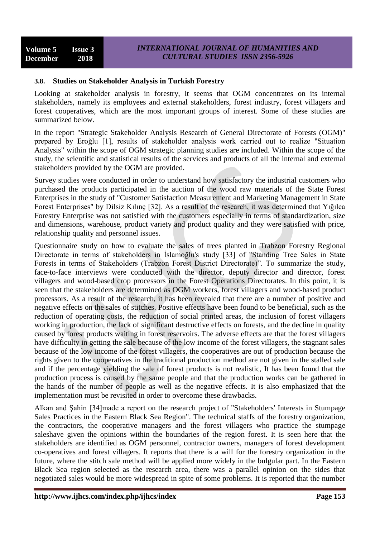## **3.8. Studies on Stakeholder Analysis in Turkish Forestry**

Looking at stakeholder analysis in forestry, it seems that OGM concentrates on its internal stakeholders, namely its employees and external stakeholders, forest industry, forest villagers and forest cooperatives, which are the most important groups of interest. Some of these studies are summarized below.

In the report "Strategic Stakeholder Analysis Research of General Directorate of Forests (OGM)" prepared by Eroğlu [1], results of stakeholder analysis work carried out to realize "Situation Analysis" within the scope of OGM strategic planning studies are included. Within the scope of the study, the scientific and statistical results of the services and products of all the internal and external stakeholders provided by the OGM are provided.

Survey studies were conducted in order to understand how satisfactory the industrial customers who purchased the products participated in the auction of the wood raw materials of the State Forest Enterprises in the study of "Customer Satisfaction Measurement and Marketing Management in State Forest Enterprises" by Dilsiz Kılınç [32]. As a result of the research, it was determined that Yığılca Forestry Enterprise was not satisfied with the customers especially in terms of standardization, size and dimensions, warehouse, product variety and product quality and they were satisfied with price, relationship quality and personnel issues.

Questionnaire study on how to evaluate the sales of trees planted in Trabzon Forestry Regional Directorate in terms of stakeholders in İslamoğlu's study [33] of "Standing Tree Sales in State Forests in terms of Stakeholders (Trabzon Forest District Directorate)". To summarize the study, face-to-face interviews were conducted with the director, deputy director and director, forest villagers and wood-based crop processors in the Forest Operations Directorates. In this point, it is seen that the stakeholders are determined as OGM workers, forest villagers and wood-based product processors. As a result of the research, it has been revealed that there are a number of positive and negative effects on the sales of stitches. Positive effects have been found to be beneficial, such as the reduction of operating costs, the reduction of social printed areas, the inclusion of forest villagers working in production, the lack of significant destructive effects on forests, and the decline in quality caused by forest products waiting in forest reservoirs. The adverse effects are that the forest villagers have difficulty in getting the sale because of the low income of the forest villagers, the stagnant sales because of the low income of the forest villagers, the cooperatives are out of production because the rights given to the cooperatives in the traditional production method are not given in the stalled sale and if the percentage yielding the sale of forest products is not realistic, It has been found that the production process is caused by the same people and that the production works can be gathered in the hands of the number of people as well as the negative effects. It is also emphasized that the implementation must be revisited in order to overcome these drawbacks.

Alkan and Şahin [34]made a report on the research project of "Stakeholders' Interests in Stumpage Sales Practices in the Eastern Black Sea Region". The technical staffs of the forestry organization, the contractors, the cooperative managers and the forest villagers who practice the stumpage saleshave given the opinions within the boundaries of the region forest. It is seen here that the stakeholders are identified as OGM personnel, contractor owners, managers of forest development co-operatives and forest villagers. It reports that there is a will for the forestry organization in the future, where the stitch sale method will be applied more widely in the bulgular part. In the Eastern Black Sea region selected as the research area, there was a parallel opinion on the sides that negotiated sales would be more widespread in spite of some problems. It is reported that the number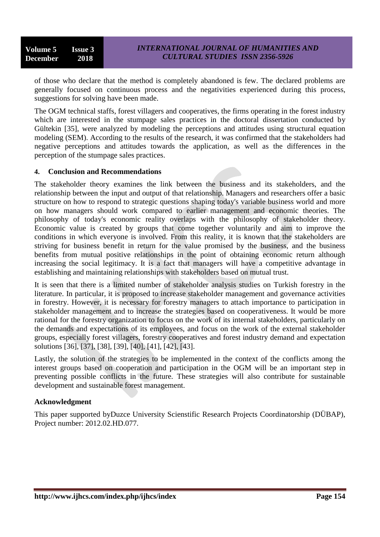of those who declare that the method is completely abandoned is few. The declared problems are generally focused on continuous process and the negativities experienced during this process, suggestions for solving have been made.

The OGM technical staffs, forest villagers and cooperatives, the firms operating in the forest industry which are interested in the stumpage sales practices in the doctoral dissertation conducted by Gültekin [35], were analyzed by modeling the perceptions and attitudes using structural equation modeling (SEM). According to the results of the research, it was confirmed that the stakeholders had negative perceptions and attitudes towards the application, as well as the differences in the perception of the stumpage sales practices.

#### **4. Conclusion and Recommendations**

The stakeholder theory examines the link between the business and its stakeholders, and the relationship between the input and output of that relationship. Managers and researchers offer a basic structure on how to respond to strategic questions shaping today's variable business world and more on how managers should work compared to earlier management and economic theories. The philosophy of today's economic reality overlaps with the philosophy of stakeholder theory. Economic value is created by groups that come together voluntarily and aim to improve the conditions in which everyone is involved. From this reality, it is known that the stakeholders are striving for business benefit in return for the value promised by the business, and the business benefits from mutual positive relationships in the point of obtaining economic return although increasing the social legitimacy. It is a fact that managers will have a competitive advantage in establishing and maintaining relationships with stakeholders based on mutual trust.

It is seen that there is a limited number of stakeholder analysis studies on Turkish forestry in the literature. In particular, it is proposed to increase stakeholder management and governance activities in forestry. However, it is necessary for forestry managers to attach importance to participation in stakeholder management and to increase the strategies based on cooperativeness. It would be more rational for the forestry organization to focus on the work of its internal stakeholders, particularly on the demands and expectations of its employees, and focus on the work of the external stakeholder groups, especially forest villagers, forestry cooperatives and forest industry demand and expectation solutions [36], [37], [38], [39], [40], [41], [42], [43].

Lastly, the solution of the strategies to be implemented in the context of the conflicts among the interest groups based on cooperation and participation in the OGM will be an important step in preventing possible conflicts in the future. These strategies will also contribute for sustainable development and sustainable forest management.

#### **Acknowledgment**

This paper supported byDuzce University Scienstific Research Projects Coordinatorship (DÜBAP), Project number: 2012.02.HD.077.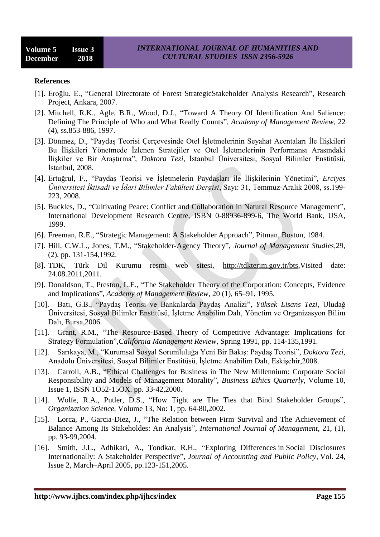#### **References**

- [1]. Eroğlu, E., "General Directorate of Forest StrategicStakeholder Analysis Research", Research Project, Ankara, 2007.
- [2]. Mitchell, R.K., Agle, B.R., Wood, D.J., "Toward A Theory Of Identification And Salience: Defining The Principle of Who and What Really Counts", *Academy of Management Review*, 22 (4), ss.853-886, 1997.
- [3]. Dönmez, D., "Paydaş Teorisi Çerçevesinde Otel İşletmelerinin Seyahat Acentaları İle İlişkileri Bu İlişkileri Yönetmede İzlenen Stratejiler ve Otel İşletmelerinin Performansı Arasındaki İlişkiler ve Bir Araştırma", *Doktora Tezi*, İstanbul Üniversitesi, Sosyal Bilimler Enstitüsü, İstanbul, 2008.
- [4]. Ertuğrul, F., "Paydaş Teorisi ve İşletmelerin Paydaşları ile İlişkilerinin Yönetimi", *Erciyes Üniversitesi İktisadi ve İdari Bilimler Fakültesi Dergisi*, Sayı: 31, Temmuz-Aralık 2008, ss.199- 223, 2008.
- [5]. Buckles, D., "Cultivating Peace: Conflict and Collaboration in Natural Resource Management", International Development Research Centre, ISBN 0-88936-899-6, The World Bank, USA, 1999.
- [6]. Freeman, R.E., "Strategic Management: A Stakeholder Approach", Pitman, Boston, 1984.
- [7]. Hill, C.W.L., Jones, T.M., "Stakeholder-Agency Theory", *Journal of Management Studies,*29, (2), pp. 131-154,1992.
- [8]. TDK, Türk Dil Kurumu resmi web sitesi, [http://tdkterim.gov.tr/bts,](http://tdkterim.gov.tr/bts)Visited date: 24.08.2011,2011.
- [9]. Donaldson, T., Preston, L.E., "The Stakeholder Theory of the Corporation: Concepts, Evidence and Implications", *Academy of Management Review*, 20 (1), 65–91, 1995.
- [10]. Batı, G.B., "Paydaş Teorisi ve Bankalarda Paydaş Analizi", *Yüksek Lisans Tezi*, Uludağ Üniversitesi, Sosyal Bilimler Enstitüsü, İşletme Anabilim Dalı, Yönetim ve Organizasyon Bilim Dalı, Bursa,2006.
- [11]. Grant, R.M., "The Resource-Based Theory of Competitive Advantage: Implications for Strategy Formulation",*California Management Review*, Spring 1991, pp. 114-135,1991.
- [12]. Sarıkaya, M., "Kurumsal Sosyal Sorumluluğa Yeni Bir Bakış: Paydaş Teorisi", *Doktora Tezi*, Anadolu Üniversitesi, Sosyal Bilimler Enstitüsü, İşletme Anabilim Dalı, Eskişehir,2008.
- [13]. Carroll, A.B., "Ethical Challenges for Business in The New Millennium: Corporate Social Responsibility and Models of Management Morality", *Business Ethics Quarterly*, Volume 10, Issue 1, ISSN 1O52-15OX. pp. 33-42,2000.
- [14]. Wolfe, R.A., Putler, D.S., "How Tight are The Ties that Bind Stakeholder Groups", *Organization Science,* Volume 13, No: 1, pp. 64-80,2002.
- [15]. Lorca, P., Garcia-Diez, J., "The Relation between Firm Survival and The Achievement of Balance Among Its Stakeholdes: An Analysis", *International Journal of Management*, 21, (1), pp. 93-99,2004.
- [16]. Smith, J.L., Adhikari, A., Tondkar, R.H., ["Exploring Differences](http://www.sciencedirect.com/science/article/pii/S0278425404000985) in Social Disclosures [Internationally: A Stakeholder Perspective"](http://www.sciencedirect.com/science/article/pii/S0278425404000985), *Journal of Accounting and Public Policy*, Vol. 24, Issue 2, March–April 2005, pp.123-151,2005.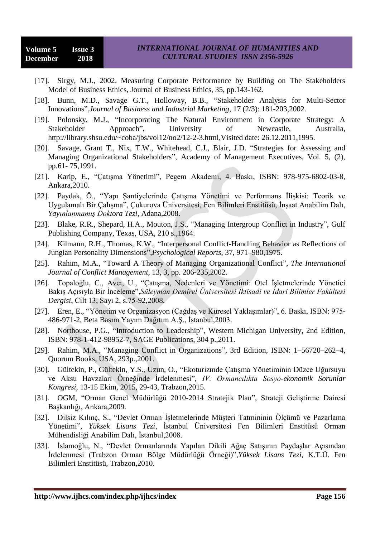- [17]. Sirgy, M.J., 2002. Measuring Corporate Performance by Building on The Stakeholders Model of Business Ethics, Journal of Business Ethics, 35, pp.143-162.
- [18]. Bunn, M.D., Savage G.T., Holloway, B.B., "Stakeholder Analysis for Multi-Sector Innovations",*Journal of Business and Industrial Marketing*, 17 (2/3): 181-203,2002.
- [19]. Polonsky, M.J., "Incorporating The Natural Environment in Corporate Strategy: A Stakeholder Approach", University of Newcastle, Australia, [http://library.shsu.edu/~coba/jbs/vol12/no2/12-2-3.html,](http://library.shsu.edu/~coba/jbs/vol12/no2/12-2-3.html)Visited date: 26.12.2011,1995.
- [20]. Savage, Grant T., Nix, T.W., Whitehead, C.J., Blair, J.D. "Strategies for Assessing and Managing Organizational Stakeholders", Academy of Management Executives, Vol. 5, (2), pp.61- 75,1991.
- [21]. Karip, E., "Çatışma Yönetimi", Pegem Akademi, 4. Baskı, ISBN: 978-975-6802-03-8, Ankara,2010.
- [22]. Paydak, Ö., "Yapı Şantiyelerinde Çatışma Yönetimi ve Performans İlişkisi: Teorik ve Uygulamalı Bir Çalışma", Çukurova Üniversitesi, Fen Bilimleri Enstitüsü, İnşaat Anabilim Dalı, *Yayınlanmamış Doktora Tezi,* Adana,2008.
- [23]. Blake, R.R., Shepard, H.A., Mouton, J.S., "Managing Intergroup Conflict in Industry", Gulf Publishing Company, Texas, USA, 210 s.,1964.
- [24]. Kilmann, R.H., Thomas, K.W., "Interpersonal Conflict-Handling Behavior as Reflections of Jungian Personality Dimensions",*Psychological Reports*, 37, 971–980,1975.
- [25]. Rahim, M.A., "Toward A Theory of Managing Organizational Conflict", *The International Journal of Conflict Management*, 13, 3, pp. 206-235,2002.
- [26]. Topaloğlu, C., Avcı, U., "Çatışma, Nedenleri ve Yönetimi: Otel İşletmelerinde Yönetici Bakış Açısıyla Bir İnceleme",*Süleyman Demirel Üniversitesi İktisadi ve İdari Bilimler Fakültesi Dergisi*, Cilt 13, Sayı 2, s.75-92,2008.
- [27]. Eren, E., "Yönetim ve Organizasyon (Çağdaş ve Küresel Yaklaşımlar)", 6. Baskı, ISBN: 975- 486-971-2, Beta Basım Yayım Dağıtım A.Ş., İstanbul,2003.
- [28]. Northouse, P.G., "Introduction to Leadership", Western Michigan University, 2nd Edition, ISBN: 978-1-412-98952-7, SAGE Publications, 304 p.,2011.
- [29]. Rahim, M.A., "Managing Conflict in Organizations", 3rd Edition, ISBN: 1–56720–262–4, Quorum Books, USA, 293p.,2001.
- [30]. Gültekin, P., Gültekin, Y.S., Uzun, O., "Ekoturizmde Çatışma Yönetiminin Düzce Uğursuyu ve Aksu Havzaları Örneğinde İrdelenmesi", *IV. Ormancılıkta Sosyo-ekonomik Sorunlar Kongresi*, 13-15 Ekim, 2015, 29-43, Trabzon,2015.
- [31]. OGM, "Orman Genel Müdürlüğü 2010-2014 Stratejik Plan", Strateji Geliştirme Dairesi Başkanlığı, Ankara,2009.
- [32]. Dilsiz Kılınç, S., "Devlet Orman İşletmelerinde Müşteri Tatmininin Ölçümü ve Pazarlama Yönetimi", *Yüksek Lisans Tezi*, İstanbul Üniversitesi Fen Bilimleri Enstitüsü Orman Mühendisliği Anabilim Dalı, İstanbul,2008.
- [33]. İslamoğlu, N., "Devlet Ormanlarında Yapılan Dikili Ağaç Satışının Paydaşlar Açısından İrdelenmesi (Trabzon Orman Bölge Müdürlüğü Örneği)",*Yüksek Lisans Tezi*, K.T.Ü. Fen Bilimleri Enstitüsü, Trabzon,2010.